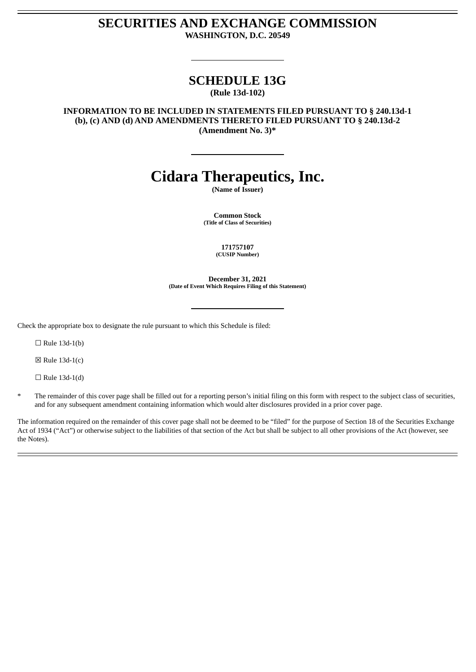### **SECURITIES AND EXCHANGE COMMISSION WASHINGTON, D.C. 20549**

# **SCHEDULE 13G**

**(Rule 13d-102)**

**INFORMATION TO BE INCLUDED IN STATEMENTS FILED PURSUANT TO § 240.13d-1 (b), (c) AND (d) AND AMENDMENTS THERETO FILED PURSUANT TO § 240.13d-2 (Amendment No. 3)\***

# **Cidara Therapeutics, Inc.**

**(Name of Issuer)**

**Common Stock (Title of Class of Securities)**

> **171757107 (CUSIP Number)**

**December 31, 2021 (Date of Event Which Requires Filing of this Statement)**

Check the appropriate box to designate the rule pursuant to which this Schedule is filed:

 $\Box$  Rule 13d-1(b)

 $\boxtimes$  Rule 13d-1(c)

 $\Box$  Rule 13d-1(d)

The remainder of this cover page shall be filled out for a reporting person's initial filing on this form with respect to the subject class of securities, and for any subsequent amendment containing information which would alter disclosures provided in a prior cover page.

The information required on the remainder of this cover page shall not be deemed to be "filed" for the purpose of Section 18 of the Securities Exchange Act of 1934 ("Act") or otherwise subject to the liabilities of that section of the Act but shall be subject to all other provisions of the Act (however, see the Notes).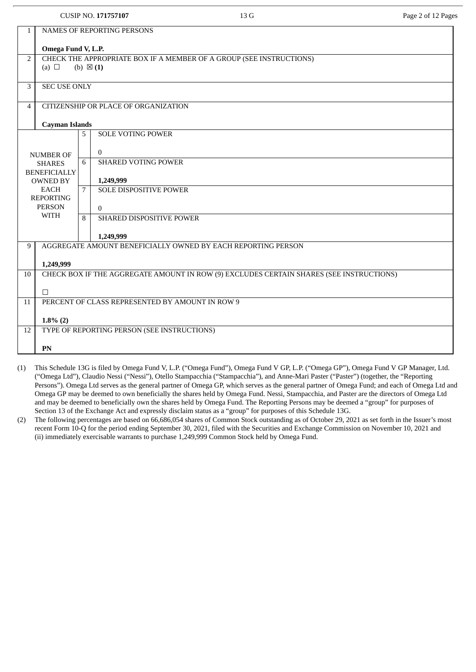|                |                                                 |                     | <b>CUSIP NO. 171757107</b>                  | 13G                                                                                     | Page 2 of 12 Pages |  |  |
|----------------|-------------------------------------------------|---------------------|---------------------------------------------|-----------------------------------------------------------------------------------------|--------------------|--|--|
| $\mathbf{1}$   | NAMES OF REPORTING PERSONS                      |                     |                                             |                                                                                         |                    |  |  |
|                | Omega Fund V, L.P.                              |                     |                                             |                                                                                         |                    |  |  |
| $\overline{2}$ | (a) $\Box$                                      | (b) $\boxtimes$ (1) |                                             | CHECK THE APPROPRIATE BOX IF A MEMBER OF A GROUP (SEE INSTRUCTIONS)                     |                    |  |  |
| 3              | <b>SEC USE ONLY</b>                             |                     |                                             |                                                                                         |                    |  |  |
|                |                                                 |                     |                                             |                                                                                         |                    |  |  |
| 4              |                                                 |                     | CITIZENSHIP OR PLACE OF ORGANIZATION        |                                                                                         |                    |  |  |
|                | <b>Cayman Islands</b>                           |                     |                                             |                                                                                         |                    |  |  |
|                |                                                 | 5                   | <b>SOLE VOTING POWER</b>                    |                                                                                         |                    |  |  |
|                | <b>NUMBER OF</b>                                |                     | $\overline{0}$                              |                                                                                         |                    |  |  |
|                | <b>SHARES</b><br><b>BENEFICIALLY</b>            | 6                   | <b>SHARED VOTING POWER</b>                  |                                                                                         |                    |  |  |
|                | <b>OWNED BY</b><br><b>EACH</b>                  | 7                   | 1,249,999<br>SOLE DISPOSITIVE POWER         |                                                                                         |                    |  |  |
|                | <b>REPORTING</b>                                |                     |                                             |                                                                                         |                    |  |  |
|                | <b>PERSON</b><br><b>WITH</b>                    | 8                   | $\Omega$<br>SHARED DISPOSITIVE POWER        |                                                                                         |                    |  |  |
|                |                                                 |                     |                                             |                                                                                         |                    |  |  |
| 9              |                                                 |                     | 1,249,999                                   | AGGREGATE AMOUNT BENEFICIALLY OWNED BY EACH REPORTING PERSON                            |                    |  |  |
|                | 1,249,999                                       |                     |                                             |                                                                                         |                    |  |  |
| 10             |                                                 |                     |                                             | CHECK BOX IF THE AGGREGATE AMOUNT IN ROW (9) EXCLUDES CERTAIN SHARES (SEE INSTRUCTIONS) |                    |  |  |
|                | $\Box$                                          |                     |                                             |                                                                                         |                    |  |  |
| 11             | PERCENT OF CLASS REPRESENTED BY AMOUNT IN ROW 9 |                     |                                             |                                                                                         |                    |  |  |
|                | $1.8\%$ (2)                                     |                     |                                             |                                                                                         |                    |  |  |
| 12             |                                                 |                     | TYPE OF REPORTING PERSON (SEE INSTRUCTIONS) |                                                                                         |                    |  |  |
|                | PN                                              |                     |                                             |                                                                                         |                    |  |  |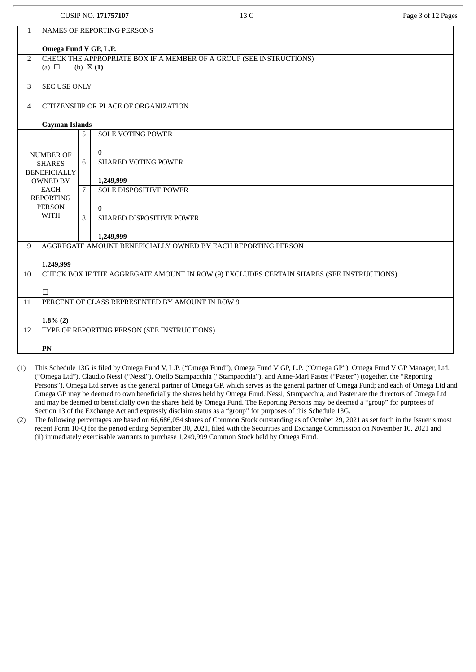|                |                                                                                         |                     | <b>CUSIP NO. 171757107</b>                                          | 13 G | Page 3 of 12 Pages |  |  |
|----------------|-----------------------------------------------------------------------------------------|---------------------|---------------------------------------------------------------------|------|--------------------|--|--|
| $\mathbf{1}$   | <b>NAMES OF REPORTING PERSONS</b>                                                       |                     |                                                                     |      |                    |  |  |
|                | Omega Fund V GP, L.P.                                                                   |                     |                                                                     |      |                    |  |  |
| $\overline{2}$ | (a) $\Box$                                                                              | (b) $\boxtimes$ (1) | CHECK THE APPROPRIATE BOX IF A MEMBER OF A GROUP (SEE INSTRUCTIONS) |      |                    |  |  |
| 3              | <b>SEC USE ONLY</b>                                                                     |                     |                                                                     |      |                    |  |  |
| $\overline{4}$ |                                                                                         |                     | CITIZENSHIP OR PLACE OF ORGANIZATION                                |      |                    |  |  |
|                | <b>Cayman Islands</b>                                                                   |                     |                                                                     |      |                    |  |  |
|                |                                                                                         | 5                   | <b>SOLE VOTING POWER</b>                                            |      |                    |  |  |
|                | <b>NUMBER OF</b>                                                                        |                     | $\overline{0}$                                                      |      |                    |  |  |
|                | <b>SHARES</b><br><b>BENEFICIALLY</b>                                                    | 6                   | <b>SHARED VOTING POWER</b>                                          |      |                    |  |  |
|                | <b>OWNED BY</b>                                                                         |                     | 1,249,999                                                           |      |                    |  |  |
|                | <b>EACH</b><br><b>REPORTING</b>                                                         | 7                   | <b>SOLE DISPOSITIVE POWER</b>                                       |      |                    |  |  |
|                | <b>PERSON</b><br><b>WITH</b>                                                            |                     | $\overline{0}$                                                      |      |                    |  |  |
|                |                                                                                         | 8                   | <b>SHARED DISPOSITIVE POWER</b>                                     |      |                    |  |  |
|                |                                                                                         |                     | 1,249,999                                                           |      |                    |  |  |
| 9              |                                                                                         |                     | AGGREGATE AMOUNT BENEFICIALLY OWNED BY EACH REPORTING PERSON        |      |                    |  |  |
|                | 1,249,999                                                                               |                     |                                                                     |      |                    |  |  |
| 10             | CHECK BOX IF THE AGGREGATE AMOUNT IN ROW (9) EXCLUDES CERTAIN SHARES (SEE INSTRUCTIONS) |                     |                                                                     |      |                    |  |  |
|                | $\Box$                                                                                  |                     |                                                                     |      |                    |  |  |
| 11             | PERCENT OF CLASS REPRESENTED BY AMOUNT IN ROW 9                                         |                     |                                                                     |      |                    |  |  |
|                | $1.8\%$ (2)                                                                             |                     |                                                                     |      |                    |  |  |
| 12             |                                                                                         |                     | TYPE OF REPORTING PERSON (SEE INSTRUCTIONS)                         |      |                    |  |  |
|                | PN                                                                                      |                     |                                                                     |      |                    |  |  |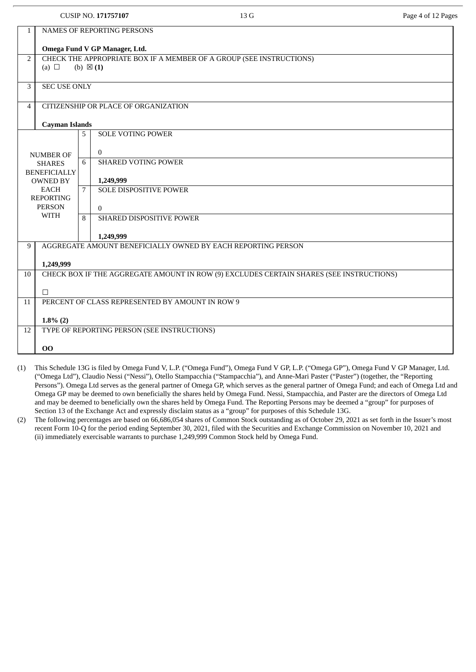|                |                                                                                         |   | <b>CUSIP NO. 171757107</b>                  | 13 G                                                                | Page 4 of 12 Pages |  |  |
|----------------|-----------------------------------------------------------------------------------------|---|---------------------------------------------|---------------------------------------------------------------------|--------------------|--|--|
| $\mathbf{1}$   | NAMES OF REPORTING PERSONS                                                              |   |                                             |                                                                     |                    |  |  |
|                |                                                                                         |   | Omega Fund V GP Manager, Ltd.               |                                                                     |                    |  |  |
| $\overline{2}$ | (a) $\Box$                                                                              |   | (b) $\boxtimes$ (1)                         | CHECK THE APPROPRIATE BOX IF A MEMBER OF A GROUP (SEE INSTRUCTIONS) |                    |  |  |
| 3              | <b>SEC USE ONLY</b>                                                                     |   |                                             |                                                                     |                    |  |  |
|                |                                                                                         |   |                                             |                                                                     |                    |  |  |
| $\overline{4}$ |                                                                                         |   | CITIZENSHIP OR PLACE OF ORGANIZATION        |                                                                     |                    |  |  |
|                | <b>Cayman Islands</b>                                                                   |   |                                             |                                                                     |                    |  |  |
|                |                                                                                         | 5 | <b>SOLE VOTING POWER</b>                    |                                                                     |                    |  |  |
|                | <b>NUMBER OF</b><br><b>SHARES</b>                                                       | 6 | $\mathbf{0}$<br><b>SHARED VOTING POWER</b>  |                                                                     |                    |  |  |
|                | <b>BENEFICIALLY</b>                                                                     |   |                                             |                                                                     |                    |  |  |
|                | <b>OWNED BY</b><br><b>EACH</b>                                                          | 7 | 1,249,999<br><b>SOLE DISPOSITIVE POWER</b>  |                                                                     |                    |  |  |
|                | <b>REPORTING</b><br><b>PERSON</b>                                                       |   | $\mathbf{0}$                                |                                                                     |                    |  |  |
|                | <b>WITH</b>                                                                             | 8 | SHARED DISPOSITIVE POWER                    |                                                                     |                    |  |  |
|                |                                                                                         |   | 1,249,999                                   |                                                                     |                    |  |  |
| 9              |                                                                                         |   |                                             | AGGREGATE AMOUNT BENEFICIALLY OWNED BY EACH REPORTING PERSON        |                    |  |  |
| 10             | 1,249,999                                                                               |   |                                             |                                                                     |                    |  |  |
|                | CHECK BOX IF THE AGGREGATE AMOUNT IN ROW (9) EXCLUDES CERTAIN SHARES (SEE INSTRUCTIONS) |   |                                             |                                                                     |                    |  |  |
| 11             | П<br>PERCENT OF CLASS REPRESENTED BY AMOUNT IN ROW 9                                    |   |                                             |                                                                     |                    |  |  |
|                |                                                                                         |   |                                             |                                                                     |                    |  |  |
| 12             | $1.8\%$ (2)                                                                             |   | TYPE OF REPORTING PERSON (SEE INSTRUCTIONS) |                                                                     |                    |  |  |
|                | 00                                                                                      |   |                                             |                                                                     |                    |  |  |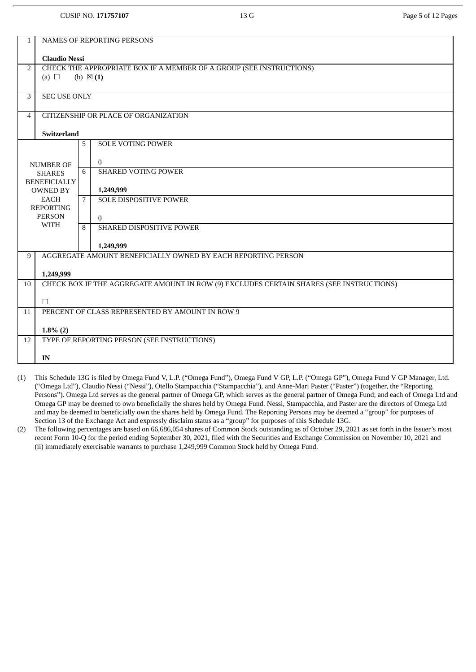| $\mathbf{1}$ | NAMES OF REPORTING PERSONS                                                              |                 |                                                                     |  |  |  |
|--------------|-----------------------------------------------------------------------------------------|-----------------|---------------------------------------------------------------------|--|--|--|
|              | <b>Claudio Nessi</b>                                                                    |                 |                                                                     |  |  |  |
| 2            |                                                                                         |                 | CHECK THE APPROPRIATE BOX IF A MEMBER OF A GROUP (SEE INSTRUCTIONS) |  |  |  |
|              | (a) $\Box$                                                                              |                 | (b) $\boxtimes$ (1)                                                 |  |  |  |
| 3            | <b>SEC USE ONLY</b>                                                                     |                 |                                                                     |  |  |  |
| 4            |                                                                                         |                 | CITIZENSHIP OR PLACE OF ORGANIZATION                                |  |  |  |
|              | <b>Switzerland</b>                                                                      |                 |                                                                     |  |  |  |
|              |                                                                                         | 5               | <b>SOLE VOTING POWER</b>                                            |  |  |  |
|              | <b>NUMBER OF</b>                                                                        |                 | $\overline{0}$                                                      |  |  |  |
|              | <b>SHARES</b><br><b>BENEFICIALLY</b>                                                    | 6               | <b>SHARED VOTING POWER</b>                                          |  |  |  |
|              | <b>OWNED BY</b>                                                                         |                 | 1,249,999                                                           |  |  |  |
|              | <b>EACH</b><br><b>REPORTING</b>                                                         | $7\overline{ }$ | <b>SOLE DISPOSITIVE POWER</b>                                       |  |  |  |
|              | <b>PERSON</b>                                                                           |                 | $\Omega$                                                            |  |  |  |
|              | <b>WITH</b>                                                                             | 8               | SHARED DISPOSITIVE POWER                                            |  |  |  |
|              |                                                                                         |                 | 1,249,999                                                           |  |  |  |
| 9            |                                                                                         |                 | AGGREGATE AMOUNT BENEFICIALLY OWNED BY EACH REPORTING PERSON        |  |  |  |
|              | 1,249,999                                                                               |                 |                                                                     |  |  |  |
| 10           | CHECK BOX IF THE AGGREGATE AMOUNT IN ROW (9) EXCLUDES CERTAIN SHARES (SEE INSTRUCTIONS) |                 |                                                                     |  |  |  |
|              | $\Box$                                                                                  |                 |                                                                     |  |  |  |
| 11           | PERCENT OF CLASS REPRESENTED BY AMOUNT IN ROW 9                                         |                 |                                                                     |  |  |  |
|              | $1.8\%$ (2)                                                                             |                 |                                                                     |  |  |  |
| 12           |                                                                                         |                 | TYPE OF REPORTING PERSON (SEE INSTRUCTIONS)                         |  |  |  |
|              | IN                                                                                      |                 |                                                                     |  |  |  |

- (1) This Schedule 13G is filed by Omega Fund V, L.P. ("Omega Fund"), Omega Fund V GP, L.P. ("Omega GP"), Omega Fund V GP Manager, Ltd. ("Omega Ltd"), Claudio Nessi ("Nessi"), Otello Stampacchia ("Stampacchia"), and Anne-Mari Paster ("Paster") (together, the "Reporting Persons"). Omega Ltd serves as the general partner of Omega GP, which serves as the general partner of Omega Fund; and each of Omega Ltd and Omega GP may be deemed to own beneficially the shares held by Omega Fund. Nessi, Stampacchia, and Paster are the directors of Omega Ltd and may be deemed to beneficially own the shares held by Omega Fund. The Reporting Persons may be deemed a "group" for purposes of Section 13 of the Exchange Act and expressly disclaim status as a "group" for purposes of this Schedule 13G.
- (2) The following percentages are based on 66,686,054 shares of Common Stock outstanding as of October 29, 2021 as set forth in the Issuer's most recent Form 10-Q for the period ending September 30, 2021, filed with the Securities and Exchange Commission on November 10, 2021 and (ii) immediately exercisable warrants to purchase 1,249,999 Common Stock held by Omega Fund.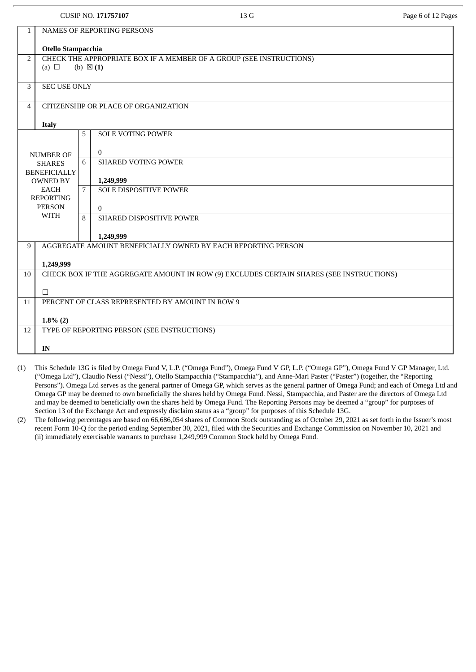|                |                                                 |   | <b>CUSIP NO. 171757107</b>                  | 13 G                                                                                    | Page 6 of 12 Pages |  |  |
|----------------|-------------------------------------------------|---|---------------------------------------------|-----------------------------------------------------------------------------------------|--------------------|--|--|
| 1              | <b>NAMES OF REPORTING PERSONS</b>               |   |                                             |                                                                                         |                    |  |  |
|                | Otello Stampacchia                              |   |                                             |                                                                                         |                    |  |  |
| 2              | (a) $\Box$                                      |   | (b) $\boxtimes$ (1)                         | CHECK THE APPROPRIATE BOX IF A MEMBER OF A GROUP (SEE INSTRUCTIONS)                     |                    |  |  |
| 3              | <b>SEC USE ONLY</b>                             |   |                                             |                                                                                         |                    |  |  |
| $\overline{4}$ |                                                 |   | CITIZENSHIP OR PLACE OF ORGANIZATION        |                                                                                         |                    |  |  |
|                | <b>Italy</b>                                    |   |                                             |                                                                                         |                    |  |  |
|                |                                                 | 5 | <b>SOLE VOTING POWER</b>                    |                                                                                         |                    |  |  |
|                | <b>NUMBER OF</b>                                |   | $\mathbf{0}$                                |                                                                                         |                    |  |  |
|                | <b>SHARES</b><br><b>BENEFICIALLY</b>            | 6 | <b>SHARED VOTING POWER</b>                  |                                                                                         |                    |  |  |
|                | <b>OWNED BY</b>                                 |   | 1,249,999                                   |                                                                                         |                    |  |  |
|                | <b>EACH</b><br><b>REPORTING</b>                 | 7 | <b>SOLE DISPOSITIVE POWER</b>               |                                                                                         |                    |  |  |
|                | <b>PERSON</b>                                   |   | $\theta$                                    |                                                                                         |                    |  |  |
|                | <b>WITH</b>                                     | 8 | SHARED DISPOSITIVE POWER                    |                                                                                         |                    |  |  |
|                |                                                 |   | 1,249,999                                   |                                                                                         |                    |  |  |
| 9              |                                                 |   |                                             | AGGREGATE AMOUNT BENEFICIALLY OWNED BY EACH REPORTING PERSON                            |                    |  |  |
|                | 1,249,999                                       |   |                                             |                                                                                         |                    |  |  |
| 10             |                                                 |   |                                             | CHECK BOX IF THE AGGREGATE AMOUNT IN ROW (9) EXCLUDES CERTAIN SHARES (SEE INSTRUCTIONS) |                    |  |  |
|                | П                                               |   |                                             |                                                                                         |                    |  |  |
| 11             | PERCENT OF CLASS REPRESENTED BY AMOUNT IN ROW 9 |   |                                             |                                                                                         |                    |  |  |
|                | $1.8\%$ (2)                                     |   |                                             |                                                                                         |                    |  |  |
| 12             |                                                 |   | TYPE OF REPORTING PERSON (SEE INSTRUCTIONS) |                                                                                         |                    |  |  |
|                | IN                                              |   |                                             |                                                                                         |                    |  |  |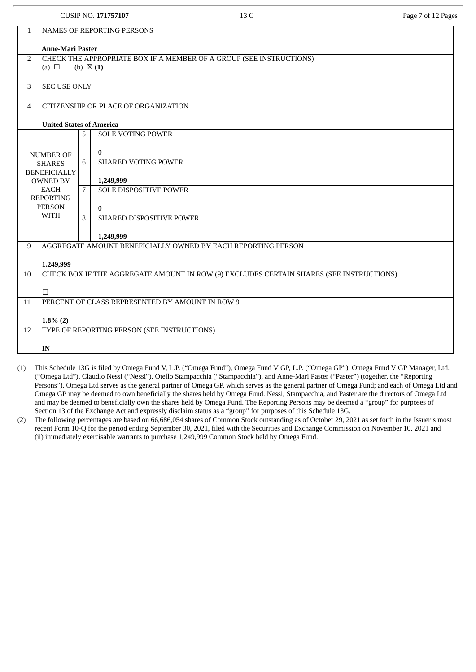|              |                                                 |   | <b>CUSIP NO. 171757107</b>                  | 13 G                                                                                    | Page 7 of 12 Pages |  |
|--------------|-------------------------------------------------|---|---------------------------------------------|-----------------------------------------------------------------------------------------|--------------------|--|
| $\mathbf{1}$ |                                                 |   | NAMES OF REPORTING PERSONS                  |                                                                                         |                    |  |
|              | <b>Anne-Mari Paster</b>                         |   |                                             |                                                                                         |                    |  |
| 2            | (a) $\Box$                                      |   | (b) $\boxtimes$ (1)                         | CHECK THE APPROPRIATE BOX IF A MEMBER OF A GROUP (SEE INSTRUCTIONS)                     |                    |  |
| 3            | <b>SEC USE ONLY</b>                             |   |                                             |                                                                                         |                    |  |
| 4            |                                                 |   | CITIZENSHIP OR PLACE OF ORGANIZATION        |                                                                                         |                    |  |
|              | <b>United States of America</b>                 |   |                                             |                                                                                         |                    |  |
|              |                                                 | 5 | <b>SOLE VOTING POWER</b>                    |                                                                                         |                    |  |
|              | <b>NUMBER OF</b>                                |   | $\bf{0}$                                    |                                                                                         |                    |  |
|              | <b>SHARES</b><br><b>BENEFICIALLY</b>            | 6 | <b>SHARED VOTING POWER</b>                  |                                                                                         |                    |  |
|              | <b>OWNED BY</b><br><b>EACH</b>                  | 7 | 1,249,999<br><b>SOLE DISPOSITIVE POWER</b>  |                                                                                         |                    |  |
|              | <b>REPORTING</b><br><b>PERSON</b>               |   |                                             |                                                                                         |                    |  |
|              | <b>WITH</b>                                     | 8 | $\mathbf{0}$<br>SHARED DISPOSITIVE POWER    |                                                                                         |                    |  |
|              |                                                 |   | 1,249,999                                   |                                                                                         |                    |  |
| 9            |                                                 |   |                                             | AGGREGATE AMOUNT BENEFICIALLY OWNED BY EACH REPORTING PERSON                            |                    |  |
|              | 1,249,999                                       |   |                                             |                                                                                         |                    |  |
| 10           |                                                 |   |                                             | CHECK BOX IF THE AGGREGATE AMOUNT IN ROW (9) EXCLUDES CERTAIN SHARES (SEE INSTRUCTIONS) |                    |  |
|              | П                                               |   |                                             |                                                                                         |                    |  |
| 11           | PERCENT OF CLASS REPRESENTED BY AMOUNT IN ROW 9 |   |                                             |                                                                                         |                    |  |
|              | $1.8\%$ (2)                                     |   |                                             |                                                                                         |                    |  |
| 12           |                                                 |   | TYPE OF REPORTING PERSON (SEE INSTRUCTIONS) |                                                                                         |                    |  |
|              | IN                                              |   |                                             |                                                                                         |                    |  |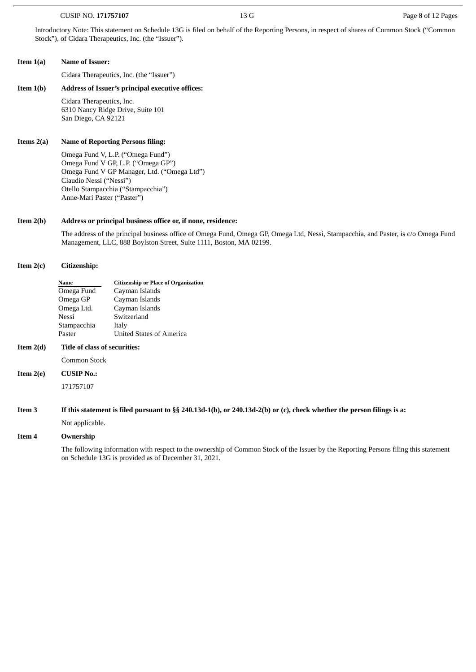#### CUSIP NO. **171757107** 13 G Page 8 of 12 Pages

Introductory Note: This statement on Schedule 13G is filed on behalf of the Reporting Persons, in respect of shares of Common Stock ("Common Stock"), of Cidara Therapeutics, Inc. (the "Issuer").

#### **Item 1(a) Name of Issuer:**

Cidara Therapeutics, Inc. (the "Issuer")

#### **Item 1(b) Address of Issuer's principal executive offices:**

Cidara Therapeutics, Inc. 6310 Nancy Ridge Drive, Suite 101 San Diego, CA 92121

#### **Items 2(a) Name of Reporting Persons filing:**

Omega Fund V, L.P. ("Omega Fund") Omega Fund V GP, L.P. ("Omega GP") Omega Fund V GP Manager, Ltd. ("Omega Ltd") Claudio Nessi ("Nessi") Otello Stampacchia ("Stampacchia") Anne-Mari Paster ("Paster")

#### **Item 2(b) Address or principal business office or, if none, residence:**

The address of the principal business office of Omega Fund, Omega GP, Omega Ltd, Nessi, Stampacchia, and Paster, is c/o Omega Fund Management, LLC, 888 Boylston Street, Suite 1111, Boston, MA 02199.

#### **Item 2(c) Citizenship:**

| Name        | <b>Citizenship or Place of Organization</b> |
|-------------|---------------------------------------------|
| Omega Fund  | Cayman Islands                              |
| Omega GP    | Cayman Islands                              |
| Omega Ltd.  | Cayman Islands                              |
| Nessi       | Switzerland                                 |
| Stampacchia | Italy                                       |
| Paster      | United States of America                    |

#### **Item 2(d) Title of class of securities:**

Common Stock

**Item 2(e) CUSIP No.:**

171757107

If this statement is filed pursuant to §§ 240.13d-1(b), or 240.13d-2(b) or (c), check whether the person filings is a:

Not applicable.

#### **Item 4 Ownership**

The following information with respect to the ownership of Common Stock of the Issuer by the Reporting Persons filing this statement on Schedule 13G is provided as of December 31, 2021.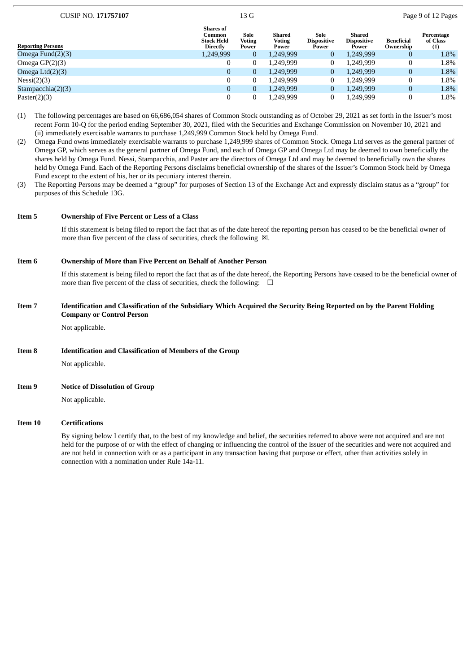| <b>CUSIP NO. 171757107</b> | 13 G | Page 9 of 12 Pages |
|----------------------------|------|--------------------|

| <b>Reporting Persons</b> | <b>Shares</b> of<br>Common<br><b>Stock Held</b><br><b>Directly</b> | Sole<br>Voting<br>Power | Shared<br><b>Voting</b><br>Power | Sole<br><b>Dispositive</b><br>Power | Shared<br><b>Dispositive</b><br>Power | <b>Beneficial</b><br>Ownership | Percentage<br>of Class<br>(1) |
|--------------------------|--------------------------------------------------------------------|-------------------------|----------------------------------|-------------------------------------|---------------------------------------|--------------------------------|-------------------------------|
| Omega Fund $(2)(3)$      | 1,249,999                                                          | 0                       | 1,249,999                        |                                     | 1.249.999                             | 0                              | $1.8\%$                       |
| Omega $GP(2)(3)$         |                                                                    | 0                       | 1.249.999                        |                                     | 1.249.999                             | U                              | 1.8%                          |
| Omega $Ltd(2)(3)$        | 0                                                                  | 0                       | 1,249,999                        |                                     | 1.249.999                             | 0                              | 1.8%                          |
| Nessi(2)(3)              |                                                                    | 0                       | 1.249.999                        |                                     | 1,249,999                             |                                | 1.8%                          |
| Stampacchia $(2)(3)$     | 0                                                                  | 0                       | 1.249.999                        |                                     | 1.249.999                             | 0                              | 1.8%                          |
| Paster $(2)(3)$          |                                                                    | 0                       | 1.249.999                        |                                     | 1.249.999                             |                                | 1.8%                          |

(1) The following percentages are based on 66,686,054 shares of Common Stock outstanding as of October 29, 2021 as set forth in the Issuer's most recent Form 10-Q for the period ending September 30, 2021, filed with the Securities and Exchange Commission on November 10, 2021 and (ii) immediately exercisable warrants to purchase 1,249,999 Common Stock held by Omega Fund.

(2) Omega Fund owns immediately exercisable warrants to purchase 1,249,999 shares of Common Stock. Omega Ltd serves as the general partner of Omega GP, which serves as the general partner of Omega Fund, and each of Omega GP and Omega Ltd may be deemed to own beneficially the shares held by Omega Fund. Nessi, Stampacchia, and Paster are the directors of Omega Ltd and may be deemed to beneficially own the shares held by Omega Fund. Each of the Reporting Persons disclaims beneficial ownership of the shares of the Issuer's Common Stock held by Omega Fund except to the extent of his, her or its pecuniary interest therein.

(3) The Reporting Persons may be deemed a "group" for purposes of Section 13 of the Exchange Act and expressly disclaim status as a "group" for purposes of this Schedule 13G.

#### **Item 5 Ownership of Five Percent or Less of a Class**

If this statement is being filed to report the fact that as of the date hereof the reporting person has ceased to be the beneficial owner of more than five percent of the class of securities, check the following  $\boxtimes$ .

#### **Item 6 Ownership of More than Five Percent on Behalf of Another Person**

If this statement is being filed to report the fact that as of the date hereof, the Reporting Persons have ceased to be the beneficial owner of more than five percent of the class of securities, check the following:  $\Box$ 

#### Item 7 Identification and Classification of the Subsidiary Which Acquired the Security Being Reported on by the Parent Holding **Company or Control Person**

Not applicable.

**Item 8 Identification and Classification of Members of the Group**

Not applicable.

**Item 9 Notice of Dissolution of Group**

Not applicable.

#### **Item 10 Certifications**

By signing below I certify that, to the best of my knowledge and belief, the securities referred to above were not acquired and are not held for the purpose of or with the effect of changing or influencing the control of the issuer of the securities and were not acquired and are not held in connection with or as a participant in any transaction having that purpose or effect, other than activities solely in connection with a nomination under Rule 14a-11.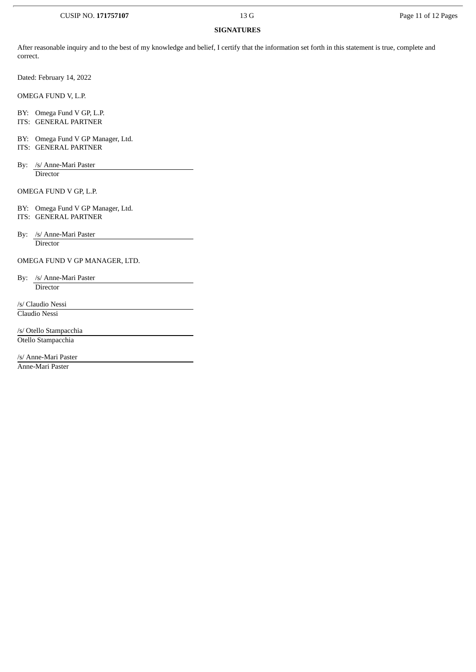#### CUSIP NO. **171757107** 13 G Page 11 of 12 Pages

## **SIGNATURES**

After reasonable inquiry and to the best of my knowledge and belief, I certify that the information set forth in this statement is true, complete and correct.

Dated: February 14, 2022

OMEGA FUND V, L.P.

BY: Omega Fund V GP, L.P. ITS: GENERAL PARTNER

BY: Omega Fund V GP Manager, Ltd.

ITS: GENERAL PARTNER

By: /s/ Anne-Mari Paster Director

OMEGA FUND V GP, L.P.

BY: Omega Fund V GP Manager, Ltd. ITS: GENERAL PARTNER

By: /s/ Anne-Mari Paster Director

OMEGA FUND V GP MANAGER, LTD.

By: /s/ Anne-Mari Paster **Director** 

/s/ Claudio Nessi Claudio Nessi

/s/ Otello Stampacchia Otello Stampacchia

/s/ Anne-Mari Paster

Anne-Mari Paster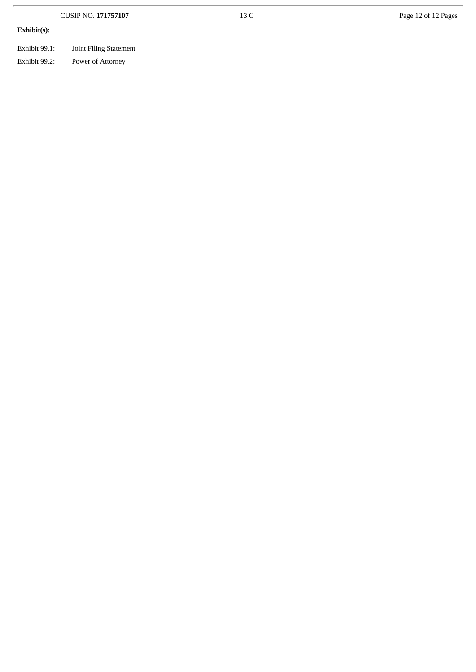|               | <b>CUSIP NO. 171757107</b> | 13 G | Page 12 of 12 Pages |  |  |
|---------------|----------------------------|------|---------------------|--|--|
| Exhibit(s):   |                            |      |                     |  |  |
| Exhibit 99.1: | Joint Filing Statement     |      |                     |  |  |
| Exhibit 99.2: | Power of Attorney          |      |                     |  |  |
|               |                            |      |                     |  |  |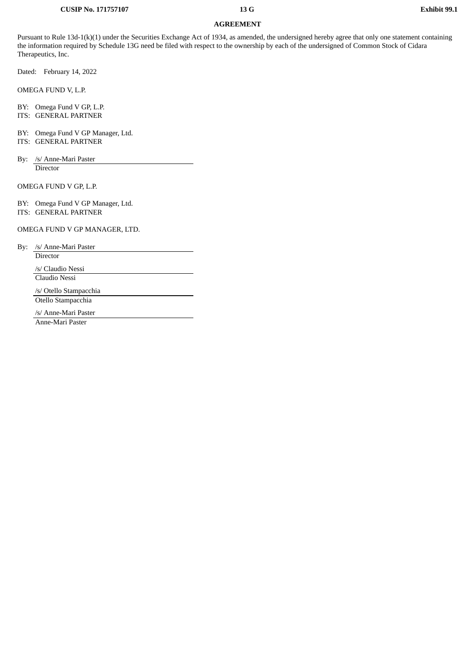#### **CUSIP No. 171757107 13 G Exhibit 99.1**

### **AGREEMENT**

Pursuant to Rule 13d-1(k)(1) under the Securities Exchange Act of 1934, as amended, the undersigned hereby agree that only one statement containing the information required by Schedule 13G need be filed with respect to the ownership by each of the undersigned of Common Stock of Cidara Therapeutics, Inc.

Dated: February 14, 2022

OMEGA FUND V, L.P.

BY: Omega Fund V GP, L.P.

ITS: GENERAL PARTNER

BY: Omega Fund V GP Manager, Ltd. ITS: GENERAL PARTNER

By: /s/ Anne-Mari Paster Director

OMEGA FUND V GP, L.P.

BY: Omega Fund V GP Manager, Ltd. ITS: GENERAL PARTNER

OMEGA FUND V GP MANAGER, LTD.

By: /s/ Anne-Mari Paster

Director

/s/ Claudio Nessi

Claudio Nessi

/s/ Otello Stampacchia Otello Stampacchia

/s/ Anne-Mari Paster

Anne-Mari Paster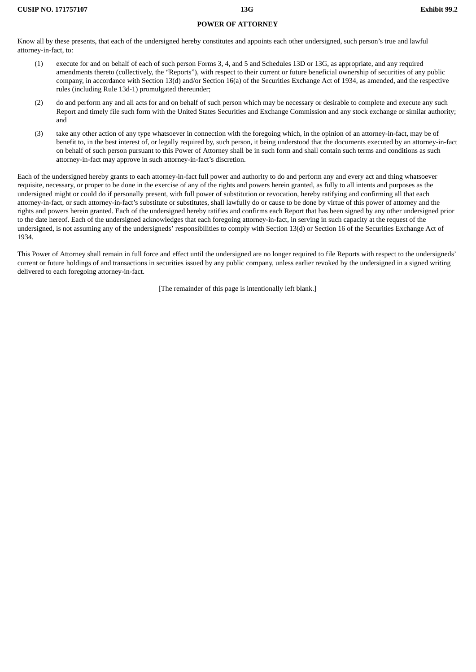#### **POWER OF ATTORNEY**

Know all by these presents, that each of the undersigned hereby constitutes and appoints each other undersigned, such person's true and lawful attorney-in-fact, to:

- (1) execute for and on behalf of each of such person Forms 3, 4, and 5 and Schedules 13D or 13G, as appropriate, and any required amendments thereto (collectively, the "Reports"), with respect to their current or future beneficial ownership of securities of any public company, in accordance with Section 13(d) and/or Section 16(a) of the Securities Exchange Act of 1934, as amended, and the respective rules (including Rule 13d-1) promulgated thereunder;
- (2) do and perform any and all acts for and on behalf of such person which may be necessary or desirable to complete and execute any such Report and timely file such form with the United States Securities and Exchange Commission and any stock exchange or similar authority; and
- (3) take any other action of any type whatsoever in connection with the foregoing which, in the opinion of an attorney-in-fact, may be of benefit to, in the best interest of, or legally required by, such person, it being understood that the documents executed by an attorney-in-fact on behalf of such person pursuant to this Power of Attorney shall be in such form and shall contain such terms and conditions as such attorney-in-fact may approve in such attorney-in-fact's discretion.

Each of the undersigned hereby grants to each attorney-in-fact full power and authority to do and perform any and every act and thing whatsoever requisite, necessary, or proper to be done in the exercise of any of the rights and powers herein granted, as fully to all intents and purposes as the undersigned might or could do if personally present, with full power of substitution or revocation, hereby ratifying and confirming all that each attorney-in-fact, or such attorney-in-fact's substitute or substitutes, shall lawfully do or cause to be done by virtue of this power of attorney and the rights and powers herein granted. Each of the undersigned hereby ratifies and confirms each Report that has been signed by any other undersigned prior to the date hereof. Each of the undersigned acknowledges that each foregoing attorney-in-fact, in serving in such capacity at the request of the undersigned, is not assuming any of the undersigneds' responsibilities to comply with Section 13(d) or Section 16 of the Securities Exchange Act of 1934.

This Power of Attorney shall remain in full force and effect until the undersigned are no longer required to file Reports with respect to the undersigneds' current or future holdings of and transactions in securities issued by any public company, unless earlier revoked by the undersigned in a signed writing delivered to each foregoing attorney-in-fact.

[The remainder of this page is intentionally left blank.]